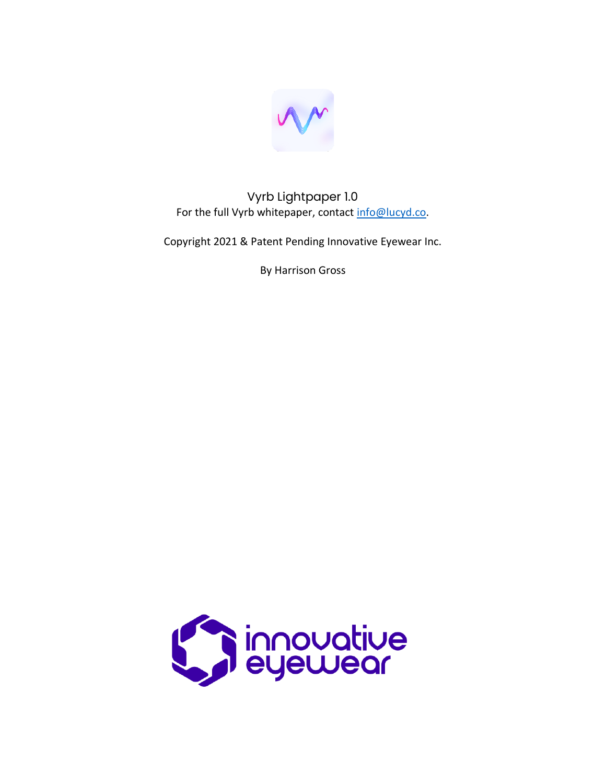

Vyrb Lightpaper 1.0 For the full Vyrb whitepaper, contact [info@lucyd.co.](mailto:info@lucyd.co)

Copyright 2021 & Patent Pending Innovative Eyewear Inc.

By Harrison Gross

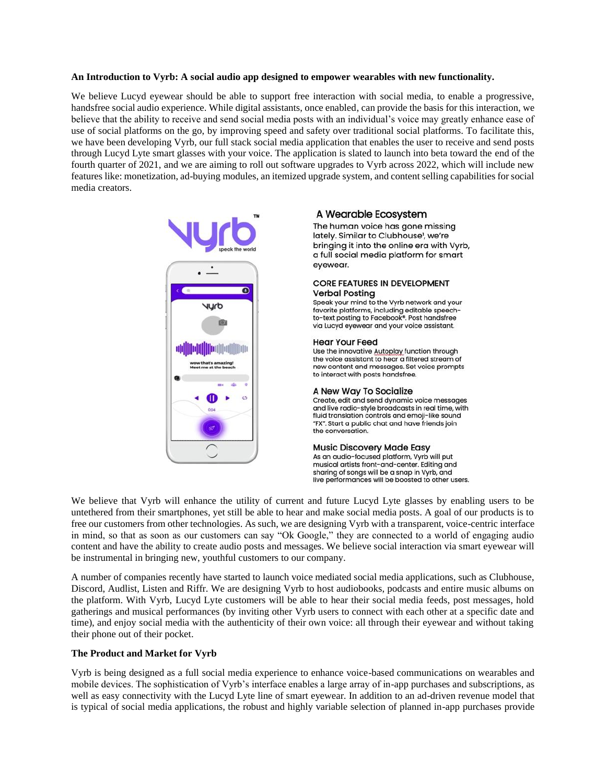# **An Introduction to Vyrb: A social audio app designed to empower wearables with new functionality.**

We believe Lucyd eyewear should be able to support free interaction with social media, to enable a progressive, handsfree social audio experience. While digital assistants, once enabled, can provide the basis for this interaction, we believe that the ability to receive and send social media posts with an individual's voice may greatly enhance ease of use of social platforms on the go, by improving speed and safety over traditional social platforms. To facilitate this, we have been developing Vyrb, our full stack social media application that enables the user to receive and send posts through Lucyd Lyte smart glasses with your voice. The application is slated to launch into beta toward the end of the fourth quarter of 2021, and we are aiming to roll out software upgrades to Vyrb across 2022, which will include new features like: monetization, ad-buying modules, an itemized upgrade system, and content selling capabilities for social media creators.



# A Wearable Ecosystem

The human voice has gone missing lately. Similar to Clubhouse', we're bringing it into the online era with Vyrb, a full social media platform for smart evewear.

#### **CORE FEATURES IN DEVELOPMENT Verbal Posting**

Speak your mind to the Vyrb network and your favorite platforms, including editable speech-<br>to-text posting to Facebook®. Post handsfree via Lucyd eyewear and your voice assistant.

### **Hear Your Feed**

Use the innovative Autoplay function through the voice assistant to hear a filtered stream of new content and messages. Set voice prompts to interact with posts handsfree.

### A New Way To Socialize

Create, edit and send dynamic voice messages and live radio-style broadcasts in real time, with fluid translation controls and emoji-like sound "FX". Start a public chat and have friends join the conversation.

### **Music Discovery Made Easy**

As an audio-focused platform, Vyrb will put musical artists front-and-center. Editing and sharing of songs will be a snap in Vyrb, and live performances will be boosted to other users.

We believe that Vyrb will enhance the utility of current and future Lucyd Lyte glasses by enabling users to be untethered from their smartphones, yet still be able to hear and make social media posts. A goal of our products is to free our customers from other technologies. As such, we are designing Vyrb with a transparent, voice-centric interface in mind, so that as soon as our customers can say "Ok Google," they are connected to a world of engaging audio content and have the ability to create audio posts and messages. We believe social interaction via smart eyewear will be instrumental in bringing new, youthful customers to our company.

A number of companies recently have started to launch voice mediated social media applications, such as Clubhouse, Discord, Audlist, Listen and Riffr. We are designing Vyrb to host audiobooks, podcasts and entire music albums on the platform. With Vyrb, Lucyd Lyte customers will be able to hear their social media feeds, post messages, hold gatherings and musical performances (by inviting other Vyrb users to connect with each other at a specific date and time), and enjoy social media with the authenticity of their own voice: all through their eyewear and without taking their phone out of their pocket.

# **The Product and Market for Vyrb**

Vyrb is being designed as a full social media experience to enhance voice-based communications on wearables and mobile devices. The sophistication of Vyrb's interface enables a large array of in-app purchases and subscriptions, as well as easy connectivity with the Lucyd Lyte line of smart eyewear. In addition to an ad-driven revenue model that is typical of social media applications, the robust and highly variable selection of planned in-app purchases provide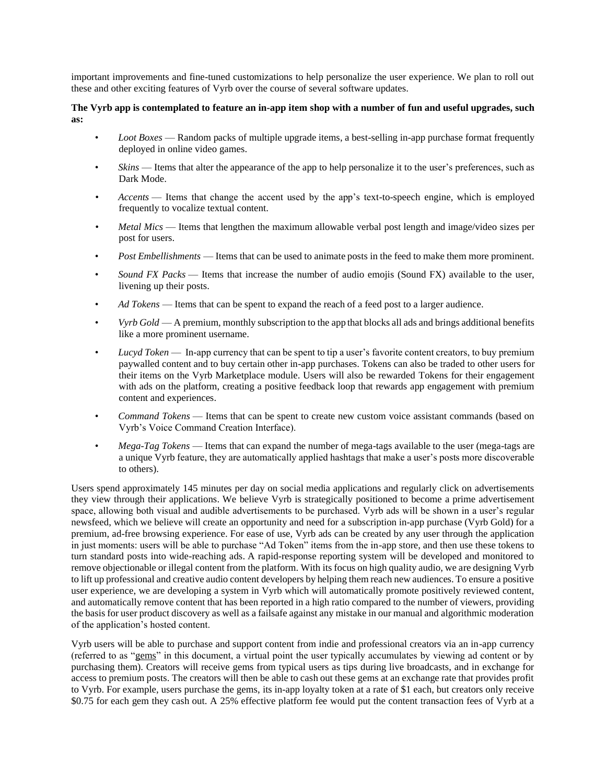important improvements and fine-tuned customizations to help personalize the user experience. We plan to roll out these and other exciting features of Vyrb over the course of several software updates.

# **The Vyrb app is contemplated to feature an in-app item shop with a number of fun and useful upgrades, such as:**

- *Loot Boxes* Random packs of multiple upgrade items, a best-selling in-app purchase format frequently deployed in online video games.
- *Skins* Items that alter the appearance of the app to help personalize it to the user's preferences, such as Dark Mode.
- *Accents* Items that change the accent used by the app's text-to-speech engine, which is employed frequently to vocalize textual content.
- *Metal Mics* Items that lengthen the maximum allowable verbal post length and image/video sizes per post for users.
- *Post Embellishments* Items that can be used to animate posts in the feed to make them more prominent.
- *Sound FX Packs* Items that increase the number of audio emojis (Sound FX) available to the user, livening up their posts.
- *Ad Tokens* Items that can be spent to expand the reach of a feed post to a larger audience.
- *Vyrb Gold* A premium, monthly subscription to the app that blocks all ads and brings additional benefits like a more prominent username.
- *Lucyd Token* In-app currency that can be spent to tip a user's favorite content creators, to buy premium paywalled content and to buy certain other in-app purchases. Tokens can also be traded to other users for their items on the Vyrb Marketplace module. Users will also be rewarded Tokens for their engagement with ads on the platform, creating a positive feedback loop that rewards app engagement with premium content and experiences.
- *Command Tokens* Items that can be spent to create new custom voice assistant commands (based on Vyrb's Voice Command Creation Interface).
- *Mega-Tag Tokens* Items that can expand the number of mega-tags available to the user (mega-tags are a unique Vyrb feature, they are automatically applied hashtags that make a user's posts more discoverable to others).

Users spend approximately 145 minutes per day on social media applications and regularly click on advertisements they view through their applications. We believe Vyrb is strategically positioned to become a prime advertisement space, allowing both visual and audible advertisements to be purchased. Vyrb ads will be shown in a user's regular newsfeed, which we believe will create an opportunity and need for a subscription in-app purchase (Vyrb Gold) for a premium, ad-free browsing experience. For ease of use, Vyrb ads can be created by any user through the application in just moments: users will be able to purchase "Ad Token" items from the in-app store, and then use these tokens to turn standard posts into wide-reaching ads. A rapid-response reporting system will be developed and monitored to remove objectionable or illegal content from the platform. With its focus on high quality audio, we are designing Vyrb to lift up professional and creative audio content developers by helping them reach new audiences. To ensure a positive user experience, we are developing a system in Vyrb which will automatically promote positively reviewed content, and automatically remove content that has been reported in a high ratio compared to the number of viewers, providing the basis for user product discovery as well as a failsafe against any mistake in our manual and algorithmic moderation of the application's hosted content.

Vyrb users will be able to purchase and support content from indie and professional creators via an in-app currency (referred to as "gems" in this document, a virtual point the user typically accumulates by viewing ad content or by purchasing them). Creators will receive gems from typical users as tips during live broadcasts, and in exchange for access to premium posts. The creators will then be able to cash out these gems at an exchange rate that provides profit to Vyrb. For example, users purchase the gems, its in-app loyalty token at a rate of \$1 each, but creators only receive \$0.75 for each gem they cash out. A 25% effective platform fee would put the content transaction fees of Vyrb at a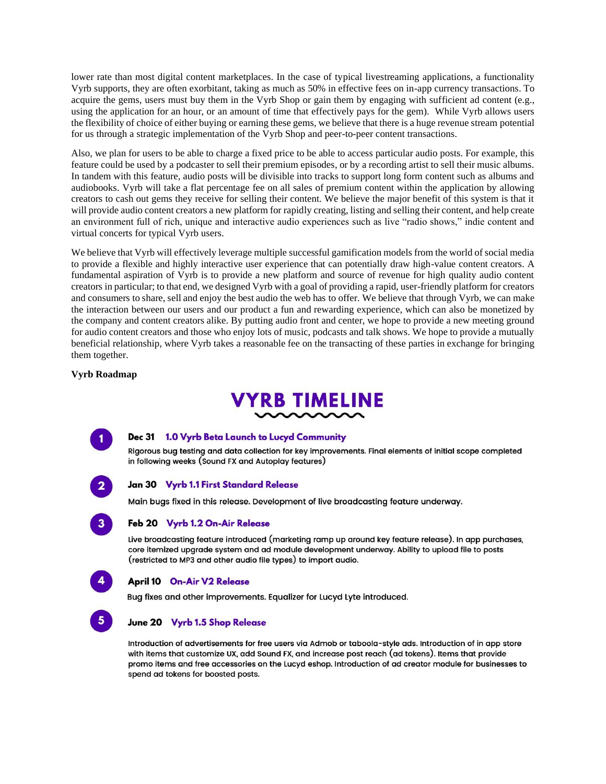lower rate than most digital content marketplaces. In the case of typical livestreaming applications, a functionality Vyrb supports, they are often exorbitant, taking as much as 50% in effective fees on in-app currency transactions. To acquire the gems, users must buy them in the Vyrb Shop or gain them by engaging with sufficient ad content (e.g., using the application for an hour, or an amount of time that effectively pays for the gem). While Vyrb allows users the flexibility of choice of either buying or earning these gems, we believe that there is a huge revenue stream potential for us through a strategic implementation of the Vyrb Shop and peer-to-peer content transactions.

Also, we plan for users to be able to charge a fixed price to be able to access particular audio posts. For example, this feature could be used by a podcaster to sell their premium episodes, or by a recording artist to sell their music albums. In tandem with this feature, audio posts will be divisible into tracks to support long form content such as albums and audiobooks. Vyrb will take a flat percentage fee on all sales of premium content within the application by allowing creators to cash out gems they receive for selling their content. We believe the major benefit of this system is that it will provide audio content creators a new platform for rapidly creating, listing and selling their content, and help create an environment full of rich, unique and interactive audio experiences such as live "radio shows," indie content and virtual concerts for typical Vyrb users.

We believe that Vyrb will effectively leverage multiple successful gamification models from the world of social media to provide a flexible and highly interactive user experience that can potentially draw high-value content creators. A fundamental aspiration of Vyrb is to provide a new platform and source of revenue for high quality audio content creators in particular; to that end, we designed Vyrb with a goal of providing a rapid, user-friendly platform for creators and consumers to share, sell and enjoy the best audio the web has to offer. We believe that through Vyrb, we can make the interaction between our users and our product a fun and rewarding experience, which can also be monetized by the company and content creators alike. By putting audio front and center, we hope to provide a new meeting ground for audio content creators and those who enjoy lots of music, podcasts and talk shows. We hope to provide a mutually beneficial relationship, where Vyrb takes a reasonable fee on the transacting of these parties in exchange for bringing them together.

# **Vyrb Roadmap**





## Dec 31 1.0 Vyrb Beta Launch to Lucyd Community

Rigorous bug testing and data collection for key improvements. Final elements of initial scope completed in following weeks (Sound FX and Autoplay features)

### Jan 30 Vyrb 1.1 First Standard Release

Main bugs fixed in this release. Development of live broadcasting feature underway.

# Feb 20 Vyrb 1.2 On-Air Release

Live broadcasting feature introduced (marketing ramp up around key feature release). In app purchases, core itemized upgrade system and ad module development underway. Ability to upload file to posts (restricted to MP3 and other audio file types) to import audio.



 $5<sup>7</sup>$ 

 $3<sup>1</sup>$ 

## **April 10 On-Air V2 Release**

Bug fixes and other improvements. Equalizer for Lucyd Lyte introduced.

# June 20 Vyrb 1.5 Shop Release

Introduction of advertisements for free users via Admob or taboola-style ads. Introduction of in app store with items that customize UX, add Sound FX, and increase post reach (ad tokens). Items that provide promo items and free accessories on the Lucyd eshop. Introduction of ad creator module for businesses to spend ad tokens for boosted posts.